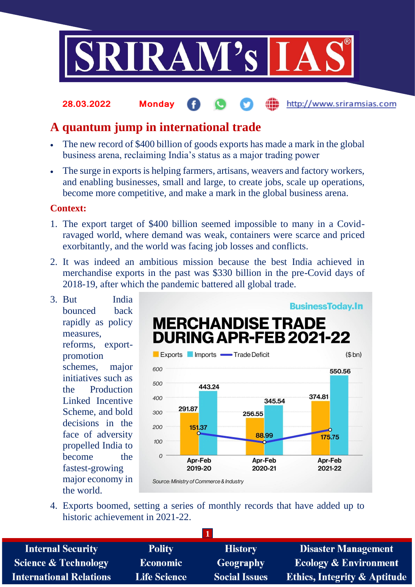

#### http://www.sriramsias.com **28.03.2022 Monday**

# **A quantum jump in international trade**

- The new record of \$400 billion of goods exports has made a mark in the global business arena, reclaiming India's status as a major trading power
- The surge in exports is helping farmers, artisans, weavers and factory workers, and enabling businesses, small and large, to create jobs, scale up operations, become more competitive, and make a mark in the global business arena.

## **Context:**

- 1. The export target of \$400 billion seemed impossible to many in a Covidravaged world, where demand was weak, containers were scarce and priced exorbitantly, and the world was facing job losses and conflicts.
- 2. It was indeed an ambitious mission because the best India achieved in merchandise exports in the past was \$330 billion in the pre-Covid days of 2018-19, after which the pandemic battered all global trade.
- 3. But India bounced back rapidly as policy measures, reforms, exportpromotion schemes, major initiatives such as the Production Linked Incentive Scheme, and bold decisions in the face of adversity propelled India to become the fastest-growing major economy in the world.



4. Exports boomed, setting a series of monthly records that have added up to historic achievement in 2021-22.

| <b>Internal Security</b>        | <b>Polity</b>       | <b>History</b>       | <b>Disaster Management</b>              |
|---------------------------------|---------------------|----------------------|-----------------------------------------|
| <b>Science &amp; Technology</b> | <b>Economic</b>     | Geography            | <b>Ecology &amp; Environment</b>        |
| <b>International Relations</b>  | <b>Life Science</b> | <b>Social Issues</b> | <b>Ethics, Integrity &amp; Aptitude</b> |